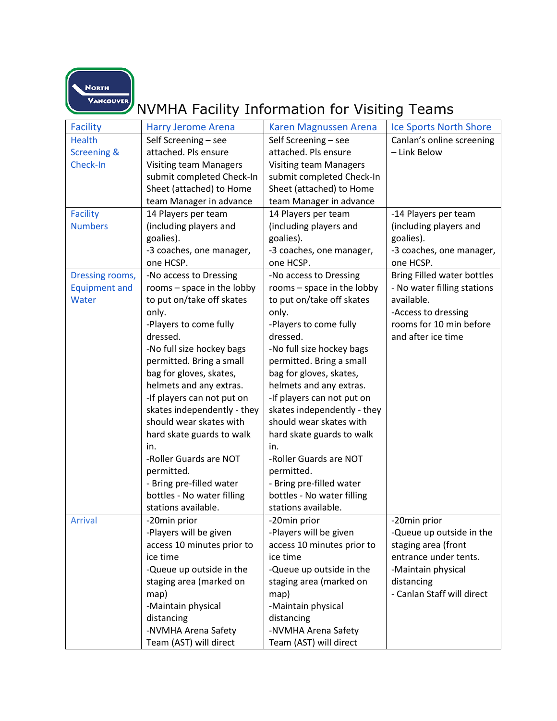NORTH<br>VANCOUVER

## NVMHA Facility Information for Visiting Teams

| <b>Facility</b>        | <b>Harry Jerome Arena</b>     | Karen Magnussen Arena         | <b>Ice Sports North Shore</b> |
|------------------------|-------------------------------|-------------------------------|-------------------------------|
| <b>Health</b>          | Self Screening - see          | Self Screening - see          | Canlan's online screening     |
| <b>Screening &amp;</b> | attached. Pls ensure          | attached. Pls ensure          | - Link Below                  |
| Check-In               | <b>Visiting team Managers</b> | <b>Visiting team Managers</b> |                               |
|                        | submit completed Check-In     | submit completed Check-In     |                               |
|                        | Sheet (attached) to Home      | Sheet (attached) to Home      |                               |
|                        | team Manager in advance       | team Manager in advance       |                               |
| <b>Facility</b>        | 14 Players per team           | 14 Players per team           | -14 Players per team          |
| <b>Numbers</b>         | (including players and        | (including players and        | (including players and        |
|                        | goalies).                     | goalies).                     | goalies).                     |
|                        | -3 coaches, one manager,      | -3 coaches, one manager,      | -3 coaches, one manager,      |
|                        | one HCSP.                     | one HCSP.                     | one HCSP.                     |
| Dressing rooms,        | -No access to Dressing        | -No access to Dressing        | Bring Filled water bottles    |
| <b>Equipment and</b>   | rooms - space in the lobby    | rooms - space in the lobby    | - No water filling stations   |
| Water                  | to put on/take off skates     | to put on/take off skates     | available.                    |
|                        | only.                         | only.                         | -Access to dressing           |
|                        | -Players to come fully        | -Players to come fully        | rooms for 10 min before       |
|                        | dressed.                      | dressed.                      | and after ice time            |
|                        | -No full size hockey bags     | -No full size hockey bags     |                               |
|                        | permitted. Bring a small      | permitted. Bring a small      |                               |
|                        | bag for gloves, skates,       | bag for gloves, skates,       |                               |
|                        | helmets and any extras.       | helmets and any extras.       |                               |
|                        | -If players can not put on    | -If players can not put on    |                               |
|                        | skates independently - they   | skates independently - they   |                               |
|                        | should wear skates with       | should wear skates with       |                               |
|                        | hard skate guards to walk     | hard skate guards to walk     |                               |
|                        | in.                           | in.                           |                               |
|                        | -Roller Guards are NOT        | -Roller Guards are NOT        |                               |
|                        | permitted.                    | permitted.                    |                               |
|                        | - Bring pre-filled water      | - Bring pre-filled water      |                               |
|                        | bottles - No water filling    | bottles - No water filling    |                               |
|                        | stations available.           | stations available.           |                               |
| <b>Arrival</b>         | -20min prior                  | -20min prior                  | -20min prior                  |
|                        | -Players will be given        | -Players will be given        | -Queue up outside in the      |
|                        | access 10 minutes prior to    | access 10 minutes prior to    | staging area (front           |
|                        | ice time                      | ice time                      | entrance under tents.         |
|                        | -Queue up outside in the      | -Queue up outside in the      | -Maintain physical            |
|                        | staging area (marked on       | staging area (marked on       | distancing                    |
|                        | map)                          | map)                          | - Canlan Staff will direct    |
|                        | -Maintain physical            | -Maintain physical            |                               |
|                        | distancing                    | distancing                    |                               |
|                        | -NVMHA Arena Safety           | -NVMHA Arena Safety           |                               |
|                        | Team (AST) will direct        | Team (AST) will direct        |                               |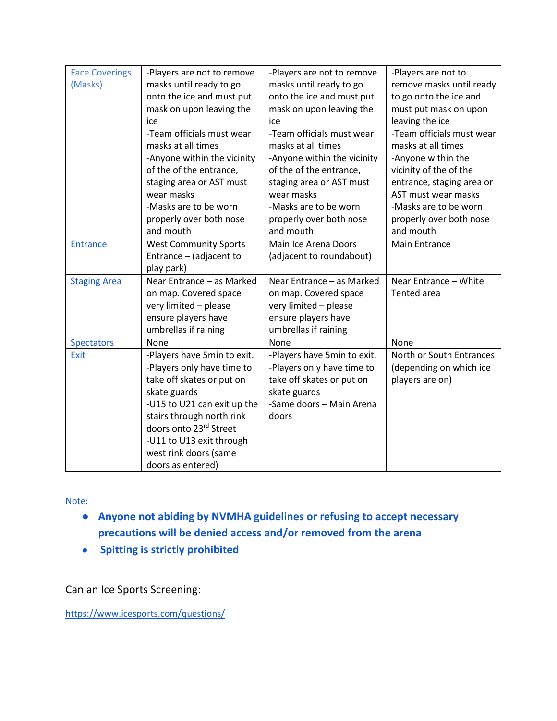| <b>Face Coverings</b> | -Players are not to remove   | -Players are not to remove  | -Players are not to       |
|-----------------------|------------------------------|-----------------------------|---------------------------|
|                       |                              |                             |                           |
| (Masks)               | masks until ready to go      | masks until ready to go     | remove masks until ready  |
|                       | onto the ice and must put    | onto the ice and must put   | to go onto the ice and    |
|                       | mask on upon leaving the     | mask on upon leaving the    | must put mask on upon     |
|                       | ice                          | ice                         | leaving the ice           |
|                       | -Team officials must wear    | -Team officials must wear   | -Team officials must wear |
|                       | masks at all times           | masks at all times          | masks at all times        |
|                       | -Anyone within the vicinity  | -Anyone within the vicinity | -Anyone within the        |
|                       | of the of the entrance,      | of the of the entrance,     | vicinity of the of the    |
|                       | staging area or AST must     | staging area or AST must    | entrance, staging area or |
|                       | wear masks                   | wear masks                  | AST must wear masks       |
|                       | -Masks are to be worn        | -Masks are to be worn       | -Masks are to be worn     |
|                       | properly over both nose      | properly over both nose     | properly over both nose   |
|                       | and mouth                    | and mouth                   | and mouth                 |
| <b>Entrance</b>       | <b>West Community Sports</b> | Main Ice Arena Doors        | <b>Main Entrance</b>      |
|                       | Entrance - (adjacent to      | (adjacent to roundabout)    |                           |
|                       | play park)                   |                             |                           |
| <b>Staging Area</b>   | Near Entrance - as Marked    | Near Entrance - as Marked   | Near Entrance - White     |
|                       | on map. Covered space        | on map. Covered space       | Tented area               |
|                       | very limited - please        | very limited - please       |                           |
|                       | ensure players have          | ensure players have         |                           |
|                       | umbrellas if raining         | umbrellas if raining        |                           |
| <b>Spectators</b>     | None                         | None                        | None                      |
| Exit                  | -Players have 5min to exit.  | -Players have 5min to exit. | North or South Entrances  |
|                       | -Players only have time to   | -Players only have time to  | (depending on which ice   |
|                       | take off skates or put on    | take off skates or put on   | players are on)           |
|                       | skate guards                 | skate guards                |                           |
|                       | -U15 to U21 can exit up the  | -Same doors - Main Arena    |                           |
|                       | stairs through north rink    | doors                       |                           |
|                       | doors onto 23rd Street       |                             |                           |
|                       | -U11 to U13 exit through     |                             |                           |
|                       | west rink doors (same        |                             |                           |
|                       | doors as entered)            |                             |                           |

Note:

- **Anyone not abiding by NVMHA guidelines or refusing to accept necessary precautions will be denied access and/or removed from the arena**
- **Spitting is strictly prohibited**

Canlan Ice Sports Screening:

<https://www.icesports.com/questions/>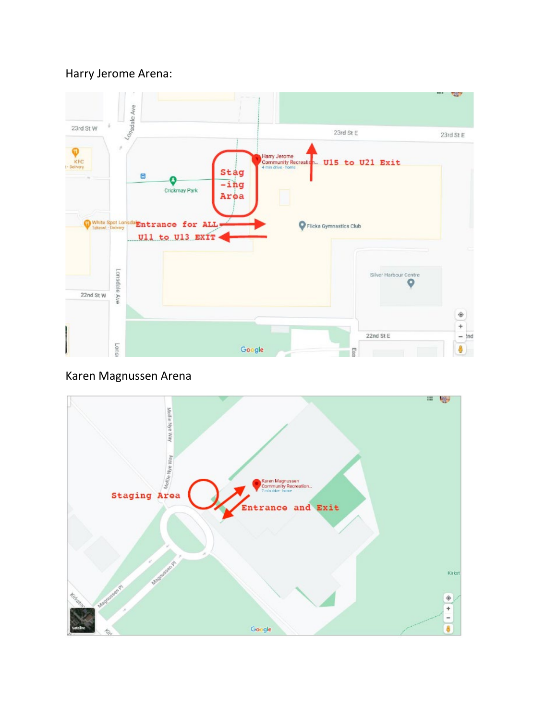## Harry Jerome Arena:



## Karen Magnussen Arena